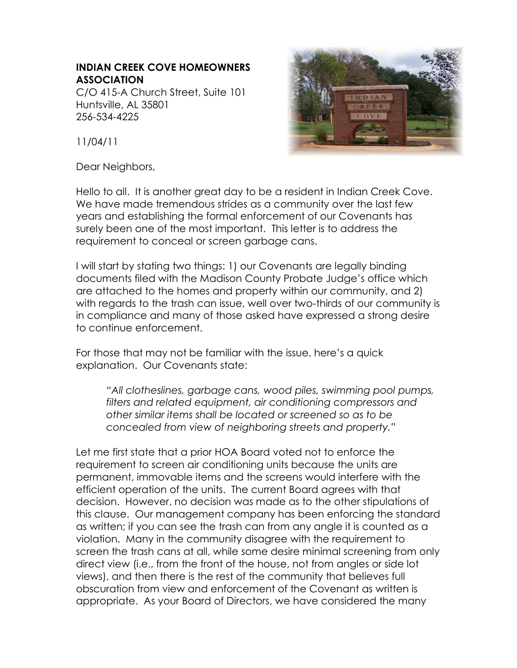## **INDIAN CREEK COVE HOMEOWNERS ASSOCIATION**

C/O 415-A Church Street, Suite 101 Huntsville, AL 35801 256-534-4225



11/04/11

Dear Neighbors,

Hello to all. It is another great day to be a resident in Indian Creek Cove. We have made tremendous strides as a community over the last few years and establishing the formal enforcement of our Covenants has surely been one of the most important. This letter is to address the requirement to conceal or screen garbage cans.

I will start by stating two things: 1) our Covenants are legally binding documents filed with the Madison County Probate Judge's office which are attached to the homes and property within our community, and 2) with regards to the trash can issue, well over two-thirds of our community is in compliance and many of those asked have expressed a strong desire to continue enforcement.

For those that may not be familiar with the issue, here's a quick explanation. Our Covenants state:

*"All clotheslines, garbage cans, wood piles, swimming pool pumps, filters and related equipment, air conditioning compressors and other similar items shall be located or screened so as to be concealed from view of neighboring streets and property."*

Let me first state that a prior HOA Board voted not to enforce the requirement to screen air conditioning units because the units are permanent, immovable items and the screens would interfere with the efficient operation of the units. The current Board agrees with that decision. However, no decision was made as to the other stipulations of this clause. Our management company has been enforcing the standard as written; if you can see the trash can from any angle it is counted as a violation. Many in the community disagree with the requirement to screen the trash cans at all, while some desire minimal screening from only direct view (i.e., from the front of the house, not from angles or side lot views), and then there is the rest of the community that believes full obscuration from view and enforcement of the Covenant as written is appropriate. As your Board of Directors, we have considered the many